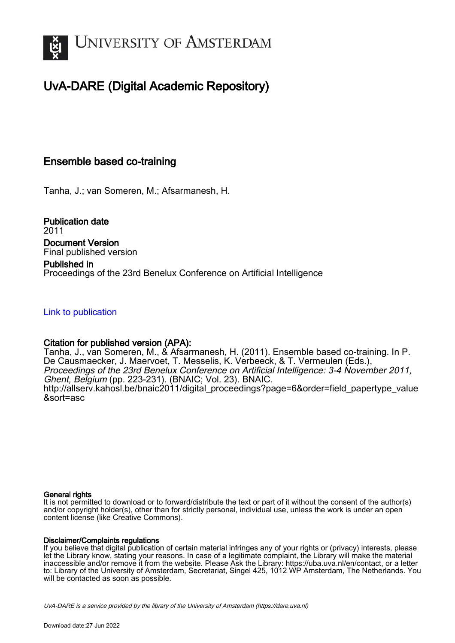

## UvA-DARE (Digital Academic Repository)

## Ensemble based co-training

Tanha, J.; van Someren, M.; Afsarmanesh, H.

Publication date 2011 Document Version Final published version

Published in Proceedings of the 23rd Benelux Conference on Artificial Intelligence

## [Link to publication](https://dare.uva.nl/personal/pure/en/publications/ensemble-based-cotraining(884452c8-2e65-49a4-bc62-2dcdb78f0fd9).html)

## Citation for published version (APA):

Tanha, J., van Someren, M., & Afsarmanesh, H. (2011). Ensemble based co-training. In P. De Causmaecker, J. Maervoet, T. Messelis, K. Verbeeck, & T. Vermeulen (Eds.), Proceedings of the 23rd Benelux Conference on Artificial Intelligence: 3-4 November 2011, Ghent, Belgium (pp. 223-231). (BNAIC; Vol. 23). BNAIC. [http://allserv.kahosl.be/bnaic2011/digital\\_proceedings?page=6&order=field\\_papertype\\_value](http://allserv.kahosl.be/bnaic2011/digital_proceedings?page=6&order=field_papertype_value&sort=asc) [&sort=asc](http://allserv.kahosl.be/bnaic2011/digital_proceedings?page=6&order=field_papertype_value&sort=asc)

### General rights

It is not permitted to download or to forward/distribute the text or part of it without the consent of the author(s) and/or copyright holder(s), other than for strictly personal, individual use, unless the work is under an open content license (like Creative Commons).

### Disclaimer/Complaints regulations

If you believe that digital publication of certain material infringes any of your rights or (privacy) interests, please let the Library know, stating your reasons. In case of a legitimate complaint, the Library will make the material inaccessible and/or remove it from the website. Please Ask the Library: https://uba.uva.nl/en/contact, or a letter to: Library of the University of Amsterdam, Secretariat, Singel 425, 1012 WP Amsterdam, The Netherlands. You will be contacted as soon as possible.

UvA-DARE is a service provided by the library of the University of Amsterdam (http*s*://dare.uva.nl)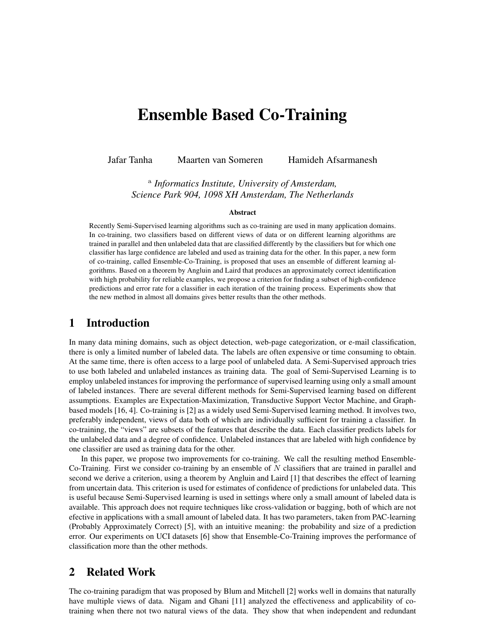# Ensemble Based Co-Training

Jafar Tanha Maarten van Someren Hamideh Afsarmanesh

a *Informatics Institute, University of Amsterdam, Science Park 904, 1098 XH Amsterdam, The Netherlands*

#### Abstract

Recently Semi-Supervised learning algorithms such as co-training are used in many application domains. In co-training, two classifiers based on different views of data or on different learning algorithms are trained in parallel and then unlabeled data that are classified differently by the classifiers but for which one classifier has large confidence are labeled and used as training data for the other. In this paper, a new form of co-training, called Ensemble-Co-Training, is proposed that uses an ensemble of different learning algorithms. Based on a theorem by Angluin and Laird that produces an approximately correct identification with high probability for reliable examples, we propose a criterion for finding a subset of high-confidence predictions and error rate for a classifier in each iteration of the training process. Experiments show that the new method in almost all domains gives better results than the other methods.

## 1 Introduction

In many data mining domains, such as object detection, web-page categorization, or e-mail classification, there is only a limited number of labeled data. The labels are often expensive or time consuming to obtain. At the same time, there is often access to a large pool of unlabeled data. A Semi-Supervised approach tries to use both labeled and unlabeled instances as training data. The goal of Semi-Supervised Learning is to employ unlabeled instances for improving the performance of supervised learning using only a small amount of labeled instances. There are several different methods for Semi-Supervised learning based on different assumptions. Examples are Expectation-Maximization, Transductive Support Vector Machine, and Graphbased models [16, 4]. Co-training is [2] as a widely used Semi-Supervised learning method. It involves two, preferably independent, views of data both of which are individually sufficient for training a classifier. In co-training, the "views" are subsets of the features that describe the data. Each classifier predicts labels for the unlabeled data and a degree of confidence. Unlabeled instances that are labeled with high confidence by one classifier are used as training data for the other.

In this paper, we propose two improvements for co-training. We call the resulting method Ensemble-Co-Training. First we consider co-training by an ensemble of  $N$  classifiers that are trained in parallel and second we derive a criterion, using a theorem by Angluin and Laird [1] that describes the effect of learning from uncertain data. This criterion is used for estimates of confidence of predictions for unlabeled data. This is useful because Semi-Supervised learning is used in settings where only a small amount of labeled data is available. This approach does not require techniques like cross-validation or bagging, both of which are not efective in applications with a small amount of labeled data. It has two parameters, taken from PAC-learning (Probably Approximately Correct) [5], with an intuitive meaning: the probability and size of a prediction error. Our experiments on UCI datasets [6] show that Ensemble-Co-Training improves the performance of classification more than the other methods.

## 2 Related Work

The co-training paradigm that was proposed by Blum and Mitchell [2] works well in domains that naturally have multiple views of data. Nigam and Ghani [11] analyzed the effectiveness and applicability of cotraining when there not two natural views of the data. They show that when independent and redundant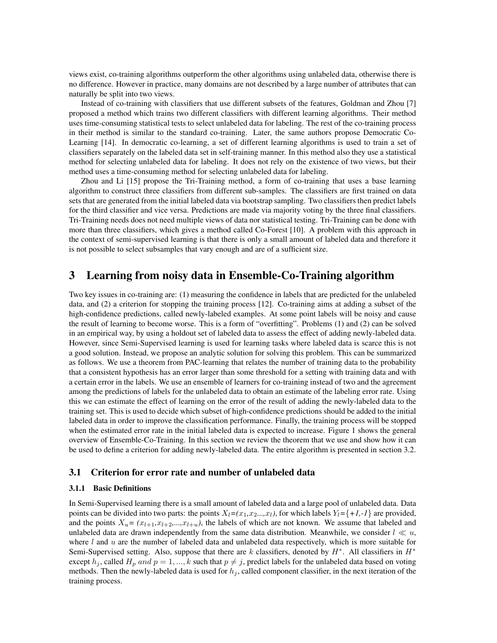views exist, co-training algorithms outperform the other algorithms using unlabeled data, otherwise there is no difference. However in practice, many domains are not described by a large number of attributes that can naturally be split into two views.

Instead of co-training with classifiers that use different subsets of the features, Goldman and Zhou [7] proposed a method which trains two different classifiers with different learning algorithms. Their method uses time-consuming statistical tests to select unlabeled data for labeling. The rest of the co-training process in their method is similar to the standard co-training. Later, the same authors propose Democratic Co-Learning [14]. In democratic co-learning, a set of different learning algorithms is used to train a set of classifiers separately on the labeled data set in self-training manner. In this method also they use a statistical method for selecting unlabeled data for labeling. It does not rely on the existence of two views, but their method uses a time-consuming method for selecting unlabeled data for labeling.

Zhou and Li [15] propose the Tri-Training method, a form of co-training that uses a base learning algorithm to construct three classifiers from different sub-samples. The classifiers are first trained on data sets that are generated from the initial labeled data via bootstrap sampling. Two classifiers then predict labels for the third classifier and vice versa. Predictions are made via majority voting by the three final classifiers. Tri-Training needs does not need multiple views of data nor statistical testing. Tri-Training can be done with more than three classifiers, which gives a method called Co-Forest [10]. A problem with this approach in the context of semi-supervised learning is that there is only a small amount of labeled data and therefore it is not possible to select subsamples that vary enough and are of a sufficient size.

## 3 Learning from noisy data in Ensemble-Co-Training algorithm

Two key issues in co-training are: (1) measuring the confidence in labels that are predicted for the unlabeled data, and (2) a criterion for stopping the training process [12]. Co-training aims at adding a subset of the high-confidence predictions, called newly-labeled examples. At some point labels will be noisy and cause the result of learning to become worse. This is a form of "overfitting". Problems (1) and (2) can be solved in an empirical way, by using a holdout set of labeled data to assess the effect of adding newly-labeled data. However, since Semi-Supervised learning is used for learning tasks where labeled data is scarce this is not a good solution. Instead, we propose an analytic solution for solving this problem. This can be summarized as follows. We use a theorem from PAC-learning that relates the number of training data to the probability that a consistent hypothesis has an error larger than some threshold for a setting with training data and with a certain error in the labels. We use an ensemble of learners for co-training instead of two and the agreement among the predictions of labels for the unlabeled data to obtain an estimate of the labeling error rate. Using this we can estimate the effect of learning on the error of the result of adding the newly-labeled data to the training set. This is used to decide which subset of high-confidence predictions should be added to the initial labeled data in order to improve the classification performance. Finally, the training process will be stopped when the estimated error rate in the initial labeled data is expected to increase. Figure 1 shows the general overview of Ensemble-Co-Training. In this section we review the theorem that we use and show how it can be used to define a criterion for adding newly-labeled data. The entire algorithm is presented in section 3.2.

#### 3.1 Criterion for error rate and number of unlabeled data

#### 3.1.1 Basic Definitions

In Semi-Supervised learning there is a small amount of labeled data and a large pool of unlabeled data. Data points can be divided into two parts: the points  $X_l = (x_1, x_2, \ldots, x_l)$ , for which labels  $Y_l = \{+1, -1\}$  are provided, and the points  $X_u = (x_{l+1}, x_{l+2},...,x_{l+u})$ , the labels of which are not known. We assume that labeled and unlabeled data are drawn independently from the same data distribution. Meanwhile, we consider  $l \ll u$ , where  $l$  and  $u$  are the number of labeled data and unlabeled data respectively, which is more suitable for Semi-Supervised setting. Also, suppose that there are  $k$  classifiers, denoted by  $H^*$ . All classifiers in  $H^*$ except  $h_j$ , called  $H_p$  and  $p = 1, ..., k$  such that  $p \neq j$ , predict labels for the unlabeled data based on voting methods. Then the newly-labeled data is used for  $h_j$ , called component classifier, in the next iteration of the training process.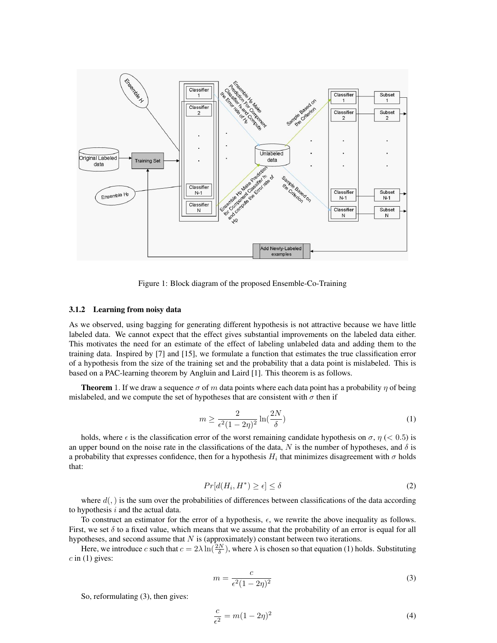

Figure 1: Block diagram of the proposed Ensemble-Co-Training

#### 3.1.2 Learning from noisy data

As we observed, using bagging for generating different hypothesis is not attractive because we have little labeled data. We cannot expect that the effect gives substantial improvements on the labeled data either. This motivates the need for an estimate of the effect of labeling unlabeled data and adding them to the training data. Inspired by [7] and [15], we formulate a function that estimates the true classification error of a hypothesis from the size of the training set and the probability that a data point is mislabeled. This is based on a PAC-learning theorem by Angluin and Laird [1]. This theorem is as follows.

**Theorem** 1. If we draw a sequence  $\sigma$  of m data points where each data point has a probability  $\eta$  of being mislabeled, and we compute the set of hypotheses that are consistent with  $\sigma$  then if

$$
m \ge \frac{2}{\epsilon^2 (1 - 2\eta)^2} \ln\left(\frac{2N}{\delta}\right) \tag{1}
$$

holds, where  $\epsilon$  is the classification error of the worst remaining candidate hypothesis on  $\sigma$ ,  $\eta$  (< 0.5) is an upper bound on the noise rate in the classifications of the data, N is the number of hypotheses, and  $\delta$  is a probability that expresses confidence, then for a hypothesis  $H_i$  that minimizes disagreement with  $\sigma$  holds that:

$$
Pr[d(H_i, H^*) \ge \epsilon] \le \delta \tag{2}
$$

where  $d(.)$  is the sum over the probabilities of differences between classifications of the data according to hypothesis  $i$  and the actual data.

To construct an estimator for the error of a hypothesis,  $\epsilon$ , we rewrite the above inequality as follows. First, we set  $\delta$  to a fixed value, which means that we assume that the probability of an error is equal for all hypotheses, and second assume that  $N$  is (approximately) constant between two iterations.

Here, we introduce c such that  $c = 2\lambda \ln(\frac{2N}{\delta})$ , where  $\lambda$  is chosen so that equation (1) holds. Substituting  $c$  in (1) gives:

$$
m = \frac{c}{\epsilon^2 (1 - 2\eta)^2} \tag{3}
$$

So, reformulating (3), then gives:

$$
\frac{c}{\epsilon^2} = m(1 - 2\eta)^2 \tag{4}
$$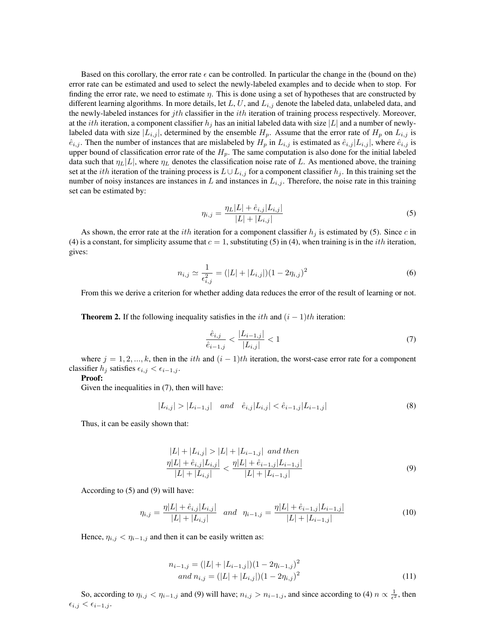Based on this corollary, the error rate  $\epsilon$  can be controlled. In particular the change in the (bound on the) error rate can be estimated and used to select the newly-labeled examples and to decide when to stop. For finding the error rate, we need to estimate  $\eta$ . This is done using a set of hypotheses that are constructed by different learning algorithms. In more details, let L, U, and  $L_{i,j}$  denote the labeled data, unlabeled data, and the newly-labeled instances for *jth* classifier in the *ith* iteration of training process respectively. Moreover, at the *ith* iteration, a component classifier  $h_j$  has an initial labeled data with size |L| and a number of newlylabeled data with size  $|L_{i,j}|$ , determined by the ensemble  $H_p$ . Assume that the error rate of  $H_p$  on  $L_{i,j}$  is  $\hat{e}_{i,j}$ . Then the number of instances that are mislabeled by  $H_p$  in  $L_{i,j}$  is estimated as  $\hat{e}_{i,j} | L_{i,j} |$ , where  $\hat{e}_{i,j}$  is upper bound of classification error rate of the  $H_p$ . The same computation is also done for the initial labeled data such that  $\eta_L|L|$ , where  $\eta_L$  denotes the classification noise rate of L. As mentioned above, the training set at the *i*th iteration of the training process is  $L \cup L_{i,j}$  for a component classifier  $h_j$ . In this training set the number of noisy instances are instances in L and instances in  $L_{i,j}$ . Therefore, the noise rate in this training set can be estimated by:

$$
\eta_{i,j} = \frac{\eta_L |L| + \hat{e}_{i,j} |L_{i,j}|}{|L| + |L_{i,j}|} \tag{5}
$$

As shown, the error rate at the *ith* iteration for a component classifier  $h_j$  is estimated by (5). Since c in (4) is a constant, for simplicity assume that  $c = 1$ , substituting (5) in (4), when training is in the *ith* iteration, gives:

$$
n_{i,j} \simeq \frac{1}{\epsilon_{i,j}^2} = (|L| + |L_{i,j}|)(1 - 2\eta_{i,j})^2
$$
\n(6)

From this we derive a criterion for whether adding data reduces the error of the result of learning or not.

**Theorem 2.** If the following inequality satisfies in the *i*th and  $(i - 1)$ th iteration:

$$
\frac{\hat{e}_{i,j}}{\hat{e}_{i-1,j}} < \frac{|L_{i-1,j}|}{|L_{i,j}|} < 1\tag{7}
$$

where  $j = 1, 2, ..., k$ , then in the *i*th and  $(i - 1)$ th iteration, the worst-case error rate for a component classifier  $h_j$  satisfies  $\epsilon_{i,j} < \epsilon_{i-1,j}$ .

#### Proof:

Given the inequalities in (7), then will have:

$$
|L_{i,j}| > |L_{i-1,j}| \quad and \quad \hat{e}_{i,j}|L_{i,j}| < \hat{e}_{i-1,j}|L_{i-1,j}| \tag{8}
$$

Thus, it can be easily shown that:

$$
|L| + |L_{i,j}| > |L| + |L_{i-1,j}| \text{ and then}
$$
  
\n
$$
\frac{\eta |L| + \hat{e}_{i,j} |L_{i,j}|}{|L| + |L_{i,j}|} < \frac{\eta |L| + \hat{e}_{i-1,j} |L_{i-1,j}|}{|L| + |L_{i-1,j}|}
$$
\n(9)

According to (5) and (9) will have:

$$
\eta_{i,j} = \frac{\eta |L| + \hat{e}_{i,j} |L_{i,j}|}{|L| + |L_{i,j}|} \quad \text{and} \quad \eta_{i-1,j} = \frac{\eta |L| + \hat{e}_{i-1,j} |L_{i-1,j}|}{|L| + |L_{i-1,j}|} \tag{10}
$$

Hence,  $\eta_{i,j} < \eta_{i-1,j}$  and then it can be easily written as:

$$
n_{i-1,j} = (|L| + |L_{i-1,j}|)(1 - 2\eta_{i-1,j})^2
$$
  
and 
$$
n_{i,j} = (|L| + |L_{i,j}|)(1 - 2\eta_{i,j})^2
$$
 (11)

So, according to  $\eta_{i,j} < \eta_{i-1,j}$  and (9) will have;  $n_{i,j} > n_{i-1,j}$ , and since according to (4)  $n \propto \frac{1}{\epsilon^2}$ , then  $\epsilon_{i,j} < \epsilon_{i-1,j}$ .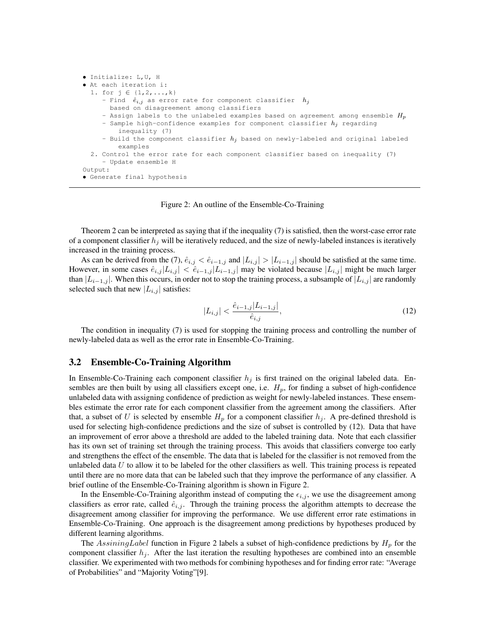```
• Initialize: L,U, H
• At each iteration i:
 1. for j \in \{1, 2, ..., k\}- Find \hat{e}_{i,j} as error rate for component classifier h_jbased on disagreement among classifiers
     - Assign labels to the unlabeled examples based on agreement among ensemble H_p- Sample high-confidence examples for component classifier h_j regarding
         inequality (7)
     - Build the component classifier h_j based on newly-labeled and original labeled
         examples
  2. Control the error rate for each component classifier based on inequality (7)
     - Update ensemble H
Output:
• Generate final hypothesis
```
#### Figure 2: An outline of the Ensemble-Co-Training

Theorem 2 can be interpreted as saying that if the inequality (7) is satisfied, then the worst-case error rate of a component classifier  $h_j$  will be iteratively reduced, and the size of newly-labeled instances is iteratively increased in the training process.

As can be derived from the (7),  $\hat{e}_{i,j} < \hat{e}_{i-1,j}$  and  $|L_{i,j}| > |L_{i-1,j}|$  should be satisfied at the same time. However, in some cases  $\hat{e}_{i,j} |L_{i,j}| < \hat{e}_{i-1,j} |L_{i-1,j}|$  may be violated because  $|L_{i,j}|$  might be much larger than  $|L_{i-1,j}|$ . When this occurs, in order not to stop the training process, a subsample of  $|L_{i,j}|$  are randomly selected such that new  $|L_{i,j}|$  satisfies:

$$
|L_{i,j}| < \frac{\hat{e}_{i-1,j}|L_{i-1,j}|}{\hat{e}_{i,j}},\tag{12}
$$

The condition in inequality (7) is used for stopping the training process and controlling the number of newly-labeled data as well as the error rate in Ensemble-Co-Training.

#### 3.2 Ensemble-Co-Training Algorithm

In Ensemble-Co-Training each component classifier  $h_j$  is first trained on the original labeled data. Ensembles are then built by using all classifiers except one, i.e.  $H_p$ , for finding a subset of high-confidence unlabeled data with assigning confidence of prediction as weight for newly-labeled instances. These ensembles estimate the error rate for each component classifier from the agreement among the classifiers. After that, a subset of U is selected by ensemble  $H_p$  for a component classifier  $h_i$ . A pre-defined threshold is used for selecting high-confidence predictions and the size of subset is controlled by (12). Data that have an improvement of error above a threshold are added to the labeled training data. Note that each classifier has its own set of training set through the training process. This avoids that classifiers converge too early and strengthens the effect of the ensemble. The data that is labeled for the classifier is not removed from the unlabeled data  $U$  to allow it to be labeled for the other classifiers as well. This training process is repeated until there are no more data that can be labeled such that they improve the performance of any classifier. A brief outline of the Ensemble-Co-Training algorithm is shown in Figure 2.

In the Ensemble-Co-Training algorithm instead of computing the  $\epsilon_{i,j}$ , we use the disagreement among classifiers as error rate, called  $\hat{e}_{i,j}$ . Through the training process the algorithm attempts to decrease the disagreement among classifier for improving the performance. We use different error rate estimations in Ensemble-Co-Training. One approach is the disagreement among predictions by hypotheses produced by different learning algorithms.

The AssiningLabel function in Figure 2 labels a subset of high-confidence predictions by  $H_p$  for the component classifier  $h_j$ . After the last iteration the resulting hypotheses are combined into an ensemble classifier. We experimented with two methods for combining hypotheses and for finding error rate: "Average of Probabilities" and "Majority Voting"[9].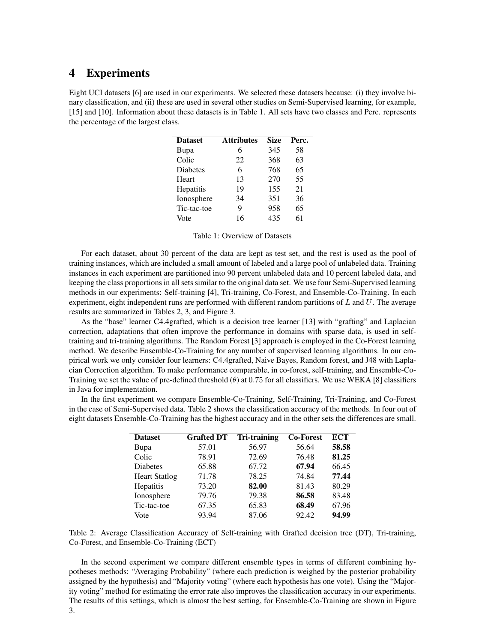### 4 Experiments

Eight UCI datasets [6] are used in our experiments. We selected these datasets because: (i) they involve binary classification, and (ii) these are used in several other studies on Semi-Supervised learning, for example, [15] and [10]. Information about these datasets is in Table 1. All sets have two classes and Perc. represents the percentage of the largest class.

| <b>Dataset</b>  | <b>Attributes</b> | <b>Size</b> | Perc. |
|-----------------|-------------------|-------------|-------|
| Bupa            | 6                 | 345         | 58    |
| Colic           | 22                | 368         | 63    |
| <b>Diabetes</b> | 6                 | 768         | 65    |
| Heart           | 13                | 270         | 55    |
| Hepatitis       | 19                | 155         | 21    |
| Ionosphere      | 34                | 351         | 36    |
| Tic-tac-toe     | 9                 | 958         | 65    |
| Vote            | 16                | 435         | 61    |

For each dataset, about 30 percent of the data are kept as test set, and the rest is used as the pool of training instances, which are included a small amount of labeled and a large pool of unlabeled data. Training instances in each experiment are partitioned into 90 percent unlabeled data and 10 percent labeled data, and keeping the class proportions in all sets similar to the original data set. We use four Semi-Supervised learning methods in our experiments: Self-training [4], Tri-training, Co-Forest, and Ensemble-Co-Training. In each experiment, eight independent runs are performed with different random partitions of  $L$  and  $U$ . The average results are summarized in Tables 2, 3, and Figure 3.

As the "base" learner C4.4grafted, which is a decision tree learner [13] with "grafting" and Laplacian correction, adaptations that often improve the performance in domains with sparse data, is used in selftraining and tri-training algorithms. The Random Forest [3] approach is employed in the Co-Forest learning method. We describe Ensemble-Co-Training for any number of supervised learning algorithms. In our empirical work we only consider four learners: C4.4grafted, Naive Bayes, Random forest, and J48 with Laplacian Correction algorithm. To make performance comparable, in co-forest, self-training, and Ensemble-Co-Training we set the value of pre-defined threshold  $(\theta)$  at 0.75 for all classifiers. We use WEKA [8] classifiers in Java for implementation.

In the first experiment we compare Ensemble-Co-Training, Self-Training, Tri-Training, and Co-Forest in the case of Semi-Supervised data. Table 2 shows the classification accuracy of the methods. In four out of eight datasets Ensemble-Co-Training has the highest accuracy and in the other sets the differences are small.

| <b>Dataset</b>       | <b>Grafted DT</b> | <b>Tri-training</b> | <b>Co-Forest</b> | ECT   |
|----------------------|-------------------|---------------------|------------------|-------|
| Bupa                 | 57.01             | 56.97               | 56.64            | 58.58 |
| Colic                | 78.91             | 72.69               | 76.48            | 81.25 |
| <b>Diabetes</b>      | 65.88             | 67.72               | 67.94            | 66.45 |
| <b>Heart Statlog</b> | 71.78             | 78.25               | 74.84            | 77.44 |
| Hepatitis            | 73.20             | 82.00               | 81.43            | 80.29 |
| Ionosphere           | 79.76             | 79.38               | 86.58            | 83.48 |
| Tic-tac-toe          | 67.35             | 65.83               | 68.49            | 67.96 |
| Vote                 | 93.94             | 87.06               | 92.42            | 94.99 |



In the second experiment we compare different ensemble types in terms of different combining hypotheses methods: "Averaging Probability" (where each prediction is weighed by the posterior probability assigned by the hypothesis) and "Majority voting" (where each hypothesis has one vote). Using the "Majority voting" method for estimating the error rate also improves the classification accuracy in our experiments. The results of this settings, which is almost the best setting, for Ensemble-Co-Training are shown in Figure 3.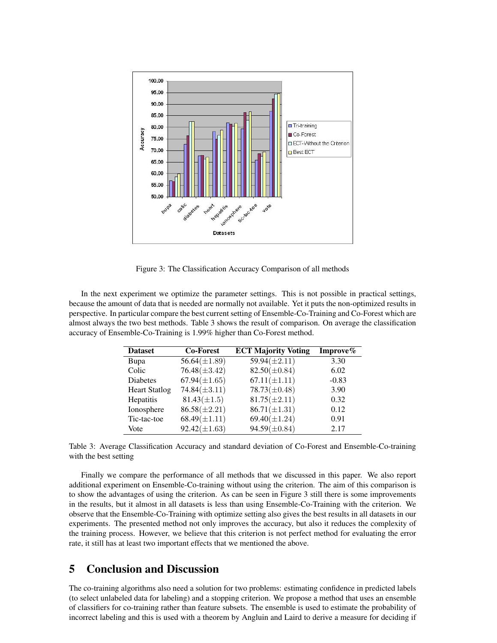

Figure 3: The Classification Accuracy Comparison of all methods

In the next experiment we optimize the parameter settings. This is not possible in practical settings, because the amount of data that is needed are normally not available. Yet it puts the non-optimized results in perspective. In particular compare the best current setting of Ensemble-Co-Training and Co-Forest which are almost always the two best methods. Table 3 shows the result of comparison. On average the classification accuracy of Ensemble-Co-Training is 1.99% higher than Co-Forest method.

| <b>Dataset</b>       | <b>Co-Forest</b>  | <b>ECT Majority Voting</b> | Improve $\%$ |
|----------------------|-------------------|----------------------------|--------------|
| Bupa                 | $56.64(\pm 1.89)$ | $59.94(\pm2.11)$           | 3.30         |
| Colic                | $76.48(\pm 3.42)$ | $82.50(\pm 0.84)$          | 6.02         |
| <b>Diabetes</b>      | $67.94(\pm 1.65)$ | $67.11(\pm 1.11)$          | $-0.83$      |
| <b>Heart Statlog</b> | $74.84(\pm3.11)$  | $78.73(\pm 0.48)$          | 3.90         |
| Hepatitis            | $81.43(\pm 1.5)$  | $81.75(\pm 2.11)$          | 0.32         |
| Ionosphere           | $86.58(\pm2.21)$  | $86.71(\pm 1.31)$          | 0.12         |
| Tic-tac-toe          | $68.49(\pm 1.11)$ | $69.40(\pm 1.24)$          | 0.91         |
| Vote                 | $92.42(\pm 1.63)$ | $94.59(\pm 0.84)$          | 2.17         |

Table 3: Average Classification Accuracy and standard deviation of Co-Forest and Ensemble-Co-training with the best setting

Finally we compare the performance of all methods that we discussed in this paper. We also report additional experiment on Ensemble-Co-training without using the criterion. The aim of this comparison is to show the advantages of using the criterion. As can be seen in Figure 3 still there is some improvements in the results, but it almost in all datasets is less than using Ensemble-Co-Training with the criterion. We observe that the Ensemble-Co-Training with optimize setting also gives the best results in all datasets in our experiments. The presented method not only improves the accuracy, but also it reduces the complexity of the training process. However, we believe that this criterion is not perfect method for evaluating the error rate, it still has at least two important effects that we mentioned the above.

## 5 Conclusion and Discussion

The co-training algorithms also need a solution for two problems: estimating confidence in predicted labels (to select unlabeled data for labeling) and a stopping criterion. We propose a method that uses an ensemble of classifiers for co-training rather than feature subsets. The ensemble is used to estimate the probability of incorrect labeling and this is used with a theorem by Angluin and Laird to derive a measure for deciding if